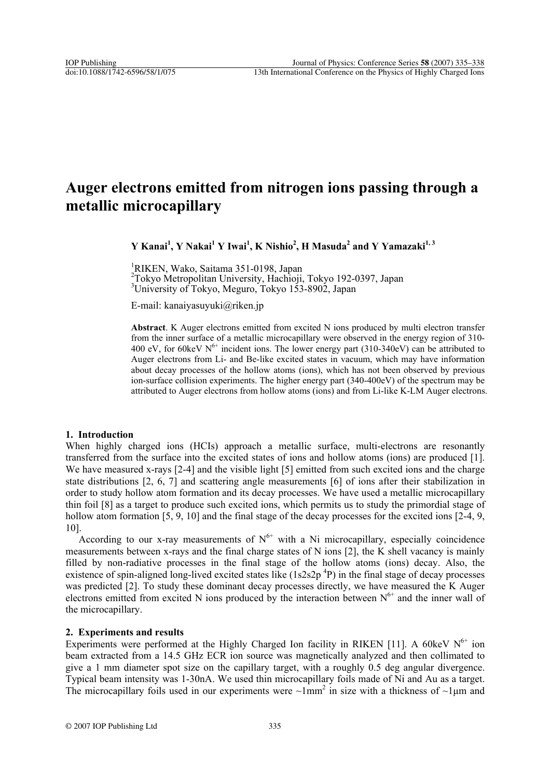# **Auger electrons emitted from nitrogen ions passing through a metallic microcapillary**

 $Y$  Kanai<sup>1</sup>,  $Y$  Nakai<sup>1</sup>  $Y$  Iwai<sup>1</sup>,  $K$  Nishio<sup>2</sup>,  $H$  Masuda<sup>2</sup> and  $Y$   $Y$ amazaki<sup>1, 3</sup>

1 RIKEN, Wako, Saitama 351-0198, Japan 2 Tokyo Metropolitan University, Hachioji, Tokyo 192-0397, Japan <sup>3</sup>University of Tokyo, Meguro, Tokyo 153-8902, Japan

E-mail: kanaiyasuyuki@riken.jp

Abstract. K Auger electrons emitted from excited N ions produced by multi electron transfer from the inner surface of a metallic microcapillary were observed in the energy region of 310- 400 eV, for 60keV  $N^{6+}$  incident ions. The lower energy part (310-340eV) can be attributed to Auger electrons from Li- and Be-like excited states in vacuum, which may have information about decay processes of the hollow atoms (ions), which has not been observed by previous ion-surface collision experiments. The higher energy part (340-400eV) of the spectrum may be attributed to Auger electrons from hollow atoms (ions) and from Li-like K-LM Auger electrons.

## **1. Introduction**

When highly charged ions (HCIs) approach a metallic surface, multi-electrons are resonantly transferred from the surface into the excited states of ions and hollow atoms (ions) are produced [1]. We have measured x-rays [2-4] and the visible light [5] emitted from such excited ions and the charge state distributions [2, 6, 7] and scattering angle measurements [6] of ions after their stabilization in order to study hollow atom formation and its decay processes. We have used a metallic microcapillary thin foil [8] as a target to produce such excited ions, which permits us to study the primordial stage of hollow atom formation [5, 9, 10] and the final stage of the decay processes for the excited ions [2-4, 9, 10].

According to our x-ray measurements of  $N^{6+}$  with a Ni microcapillary, especially coincidence measurements between x-rays and the final charge states of N ions [2], the K shell vacancy is mainly filled by non-radiative processes in the final stage of the hollow atoms (ions) decay. Also, the existence of spin-aligned long-lived excited states like  $(1s2s2p<sup>4</sup>P)$  in the final stage of decay processes was predicted [2]. To study these dominant decay processes directly, we have measured the K Auger electrons emitted from excited N ions produced by the interaction between  $N^{6+}$  and the inner wall of the microcapillary.

## **2. Experiments and results**

Experiments were performed at the Highly Charged Ion facility in RIKEN [11]. A 60keV  $N^{6+}$  ion beam extracted from a 14.5 GHz ECR ion source was magnetically analyzed and then collimated to give a 1 mm diameter spot size on the capillary target, with a roughly 0.5 deg angular divergence. Typical beam intensity was 1-30nA. We used thin microcapillary foils made of Ni and Au as a target. The microcapillary foils used in our experiments were  $\sim 1$ mm<sup>2</sup> in size with a thickness of  $\sim 1$ µm and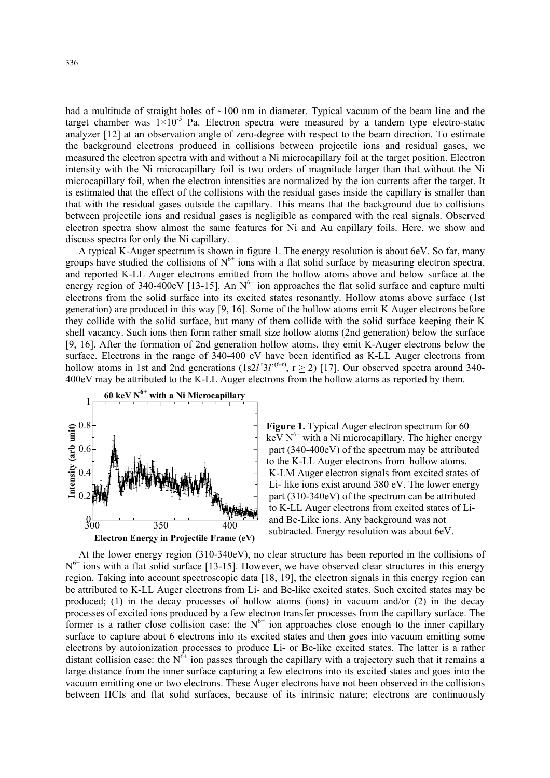had a multitude of straight holes of  $\sim$ 100 nm in diameter. Typical vacuum of the beam line and the target chamber was  $1\times10^{-5}$  Pa. Electron spectra were measured by a tandem type electro-static analyzer [12] at an observation angle of zero-degree with respect to the beam direction. To estimate the background electrons produced in collisions between projectile ions and residual gases, we measured the electron spectra with and without a Ni microcapillary foil at the target position. Electron intensity with the Ni microcapillary foil is two orders of magnitude larger than that without the Ni microcapillary foil, when the electron intensities are normalized by the ion currents after the target. It is estimated that the effect of the collisions with the residual gases inside the capillary is smaller than that with the residual gases outside the capillary. This means that the background due to collisions between projectile ions and residual gases is negligible as compared with the real signals. Observed electron spectra show almost the same features for Ni and Au capillary foils. Here, we show and discuss spectra for only the Ni capillary.

A typical K-Auger spectrum is shown in figure 1. The energy resolution is about 6eV. So far, many groups have studied the collisions of  $N^{6+}$  ions with a flat solid surface by measuring electron spectra, and reported K-LL Auger electrons emitted from the hollow atoms above and below surface at the energy region of 340-400eV [13-15]. An  $N^{6+}$  ion approaches the flat solid surface and capture multi electrons from the solid surface into its excited states resonantly. Hollow atoms above surface (1st generation) are produced in this way [9, 16]. Some of the hollow atoms emit K Auger electrons before they collide with the solid surface, but many of them collide with the solid surface keeping their K shell vacancy. Such ions then form rather small size hollow atoms (2nd generation) below the surface [9, 16]. After the formation of 2nd generation hollow atoms, they emit K-Auger electrons below the surface. Electrons in the range of 340-400 eV have been identified as K-LL Auger electrons from hollow atoms in 1st and 2nd generations (1s2*l*<sup> $r$ </sup>3*l*<sup>'(6-r)</sup>,  $r \ge 2$ ) [17]. Our observed spectra around 340-400eV may be attributed to the K-LL Auger electrons from the hollow atoms as reported by them.



Figure 1. Typical Auger electron spectrum for 60<br>  $\frac{1}{2}$  0.6<br>  $\frac{1}{2}$  0.4<br>  $\frac{1}{2}$  0.4<br>  $\frac{1}{2}$  1. The higher ener<br>  $\frac{1}{2}$  1. Typical Auger electron spectrum for 60<br>  $\frac{1}{2}$  1. Typical Auger electron spectru keV  $N^{6+}$  with a Ni microcapillary. The higher energy part (340-400eV) of the spectrum may be attributed to the K-LL Auger electrons from hollow atoms. K-LM Auger electron signals from excited states of Li- like ions exist around 380 eV. The lower energy part (310-340eV) of the spectrum can be attributed to K-LL Auger electrons from excited states of Liand Be-Like ions. Any background was not subtracted. Energy resolution was about 6eV.

At the lower energy region (310-340eV), no clear structure has been reported in the collisions of  $N^{6+}$  ions with a flat solid surface [13-15]. However, we have observed clear structures in this energy region. Taking into account spectroscopic data [18, 19], the electron signals in this energy region can be attributed to K-LL Auger electrons from Li- and Be-like excited states. Such excited states may be produced; (1) in the decay processes of hollow atoms (ions) in vacuum and/or (2) in the decay processes of excited ions produced by a few electron transfer processes from the capillary surface. The former is a rather close collision case: the  $N^{6+}$  ion approaches close enough to the inner capillary surface to capture about 6 electrons into its excited states and then goes into vacuum emitting some electrons by autoionization processes to produce Li- or Be-like excited states. The latter is a rather distant collision case: the  $N^{6+}$  ion passes through the capillary with a trajectory such that it remains a large distance from the inner surface capturing a few electrons into its excited states and goes into the vacuum emitting one or two electrons. These Auger electrons have not been observed in the collisions between HCIs and flat solid surfaces, because of its intrinsic nature; electrons are continuously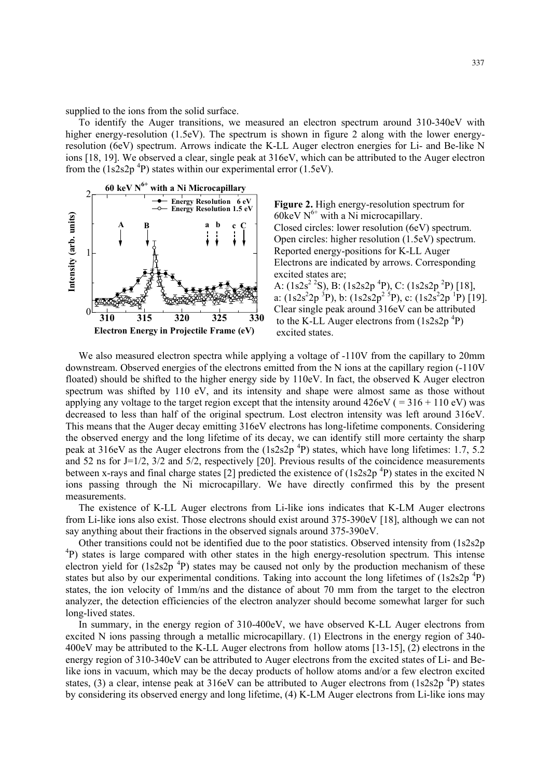supplied to the ions from the solid surface.

To identify the Auger transitions, we measured an electron spectrum around 310-340eV with higher energy-resolution (1.5eV). The spectrum is shown in figure 2 along with the lower energyresolution (6eV) spectrum. Arrows indicate the K-LL Auger electron energies for Li- and Be-like N ions [18, 19]. We observed a clear, single peak at 316eV, which can be attributed to the Auger electron from the  $(1s2s2p^{4}P)$  states within our experimental error (1.5eV).



**Figure 2.** High energy-resolution spectrum for 60keV  $N^{6+}$  with a Ni microcapillary. Closed circles: lower resolution (6eV) spectrum. **Example 1**<br>  $\begin{array}{|c|c|c|c|}\n\hline\n\text{A} & \text{B} & \text{a} & \text{b} & \text{c} & \text{C  
i.1}\n\hline\n\text{A} & \text{C} & \text{Dosed circles: lower resolution (6eV) spectrum.}\n\hline\n\text{Dpen circles: higher resolution (1.5eV) spectrum.}\n\hline\n\text{Dpen circles: higher resolution (1.5eV) spectrum.}\n\hline\n\text{Dpen circles: higher resolution (1.5eV) spectrum.}\n\hline\n\text{Dpen circles: higher resolution (1.5eV) spectrum.}\n\hline\n\text{Dpen circles: higher resolution (1$  Reported energy-positions for K-LL Auger Electrons are indicated by arrows. Corresponding excited states are;  $\mathbf{A}: (1s2s^2)^2\mathbf{S}$ , B:  $(1s2s^2)^2$ P), C:  $(1s2s2p^2P)$  [18],  $\frac{1}{2}$   $\frac{1}{2}$   $\frac{1}{2}$   $\frac{1}{2}$   $\frac{1}{2}$   $\frac{1}{2}$   $\frac{1}{2}$   $\frac{1}{2}$   $\frac{1}{2}$   $\frac{1}{2}$   $\frac{1}{2}$   $\frac{1}{2}$   $\frac{1}{2}$   $\frac{1}{2}$   $\frac{1}{2}$   $\frac{1}{2}$   $\frac{1}{2}$   $\frac{1}{2}$   $\frac{1}{2}$   $\frac{1}{2}$   $\frac{1}{2}$   $\frac{1}{2}$   $0 \frac{\sqrt{2-2} \times \sqrt{2}}{310}$   $\frac{1}{315}$   $\frac{320}{325}$   $\frac{330}{325}$  Clear single peak around 316eV can be attributed to the K-LL Auger electrons from  $(1s2s2p<sup>4</sup>P)$ 



We also measured electron spectra while applying a voltage of  $-110V$  from the capillary to 20mm downstream. Observed energies of the electrons emitted from the N ions at the capillary region (-110V floated) should be shifted to the higher energy side by 110eV. In fact, the observed K Auger electron spectrum was shifted by 110 eV, and its intensity and shape were almost same as those without applying any voltage to the target region except that the intensity around  $426\text{eV}$  ( = 316 + 110 eV) was decreased to less than half of the original spectrum. Lost electron intensity was left around 316eV. This means that the Auger decay emitting 316eV electrons has long-lifetime components. Considering the observed energy and the long lifetime of its decay, we can identify still more certainty the sharp peak at 316eV as the Auger electrons from the  $(1s2s2p<sup>4</sup>P)$  states, which have long lifetimes: 1.7, 5.2 and 52 ns for J=1/2, 3/2 and 5/2, respectively [20]. Previous results of the coincidence measurements between x-rays and final charge states [2] predicted the existence of  $(1s2s2p<sup>4</sup>P)$  states in the excited N ions passing through the Ni microcapillary. We have directly confirmed this by the present measurements.

The existence of K-LL Auger electrons from Li-like ions indicates that K-LM Auger electrons from Li-like ions also exist. Those electrons should exist around 375-390eV [18], although we can not say anything about their fractions in the observed signals around 375-390eV.

Other transitions could not be identified due to the poor statistics. Observed intensity from (1s2s2p <sup>4</sup>P) states is large compared with other states in the high energy-resolution spectrum. This intense electron yield for  $(1s2s2p<sup>4</sup>P)$  states may be caused not only by the production mechanism of these states but also by our experimental conditions. Taking into account the long lifetimes of  $(1s2s2p<sup>4</sup>P)$ states, the ion velocity of 1mm/ns and the distance of about 70 mm from the target to the electron analyzer, the detection efficiencies of the electron analyzer should become somewhat larger for such long-lived states.

In summary, in the energy region of 310-400eV, we have observed K-LL Auger electrons from excited N ions passing through a metallic microcapillary. (1) Electrons in the energy region of 340- 400eV may be attributed to the K-LL Auger electrons from hollow atoms [13-15], (2) electrons in the energy region of 310-340eV can be attributed to Auger electrons from the excited states of Li- and Belike ions in vacuum, which may be the decay products of hollow atoms and/or a few electron excited states, (3) a clear, intense peak at 316eV can be attributed to Auger electrons from  $(1s2s2p<sup>4</sup>P)$  states by considering its observed energy and long lifetime, (4) K-LM Auger electrons from Li-like ions may